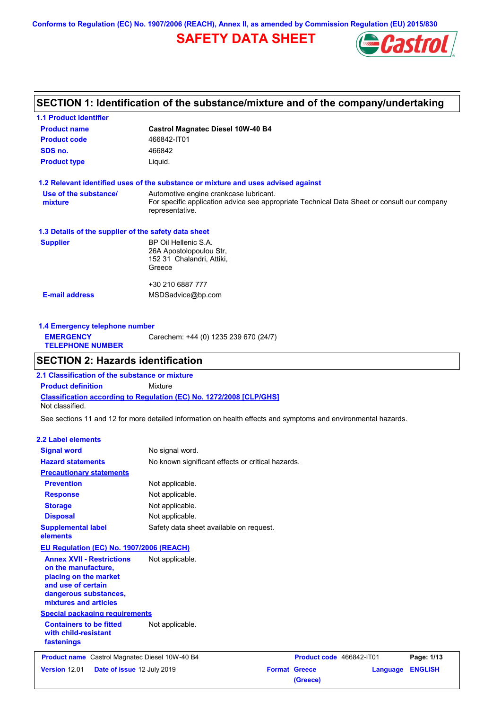**Conforms to Regulation (EC) No. 1907/2006 (REACH), Annex II, as amended by Commission Regulation (EU) 2015/830**

# **SAFETY DATA SHEET**



# **SECTION 1: Identification of the substance/mixture and of the company/undertaking**

| <b>1.1 Product identifier</b>                        |                                                                                                                                                          |
|------------------------------------------------------|----------------------------------------------------------------------------------------------------------------------------------------------------------|
| <b>Product name</b>                                  | <b>Castrol Magnatec Diesel 10W-40 B4</b>                                                                                                                 |
| <b>Product code</b>                                  | 466842-IT01                                                                                                                                              |
| SDS no.                                              | 466842                                                                                                                                                   |
| <b>Product type</b>                                  | Liquid.                                                                                                                                                  |
|                                                      | 1.2 Relevant identified uses of the substance or mixture and uses advised against                                                                        |
| Use of the substance/<br>mixture                     | Automotive engine crankcase lubricant.<br>For specific application advice see appropriate Technical Data Sheet or consult our company<br>representative. |
| 1.3 Details of the supplier of the safety data sheet |                                                                                                                                                          |
| <b>Supplier</b>                                      | BP Oil Hellenic S.A.<br>26A Apostolopoulou Str.<br>152 31 Chalandri, Attiki,<br>Greece                                                                   |
|                                                      | +30 210 6887 777                                                                                                                                         |
| <b>E-mail address</b>                                | MSDSadvice@bp.com                                                                                                                                        |
|                                                      |                                                                                                                                                          |

**1.4 Emergency telephone number EMERGENCY TELEPHONE NUMBER** Carechem: +44 (0) 1235 239 670 (24/7)

# **SECTION 2: Hazards identification**

**Classification according to Regulation (EC) No. 1272/2008 [CLP/GHS] 2.1 Classification of the substance or mixture Product definition** Mixture Not classified.

See sections 11 and 12 for more detailed information on health effects and symptoms and environmental hazards.

## **2.2 Label elements**

| <b>Signal word</b>                                                                                                                                       | No signal word.                                   |                                  |          |                |
|----------------------------------------------------------------------------------------------------------------------------------------------------------|---------------------------------------------------|----------------------------------|----------|----------------|
| <b>Hazard statements</b>                                                                                                                                 | No known significant effects or critical hazards. |                                  |          |                |
| <b>Precautionary statements</b>                                                                                                                          |                                                   |                                  |          |                |
| <b>Prevention</b>                                                                                                                                        | Not applicable.                                   |                                  |          |                |
| <b>Response</b>                                                                                                                                          | Not applicable.                                   |                                  |          |                |
| <b>Storage</b>                                                                                                                                           | Not applicable.                                   |                                  |          |                |
| <b>Disposal</b>                                                                                                                                          | Not applicable.                                   |                                  |          |                |
| <b>Supplemental label</b><br>elements                                                                                                                    | Safety data sheet available on request.           |                                  |          |                |
| EU Regulation (EC) No. 1907/2006 (REACH)                                                                                                                 |                                                   |                                  |          |                |
| <b>Annex XVII - Restrictions</b><br>on the manufacture.<br>placing on the market<br>and use of certain<br>dangerous substances,<br>mixtures and articles | Not applicable.                                   |                                  |          |                |
| <b>Special packaging requirements</b>                                                                                                                    |                                                   |                                  |          |                |
| <b>Containers to be fitted</b><br>with child-resistant<br>fastenings                                                                                     | Not applicable.                                   |                                  |          |                |
| <b>Product name</b> Castrol Magnatec Diesel 10W-40 B4                                                                                                    |                                                   | Product code 466842-IT01         |          | Page: 1/13     |
| Version 12.01<br>Date of issue 12 July 2019                                                                                                              |                                                   | <b>Format Greece</b><br>(Greece) | Language | <b>ENGLISH</b> |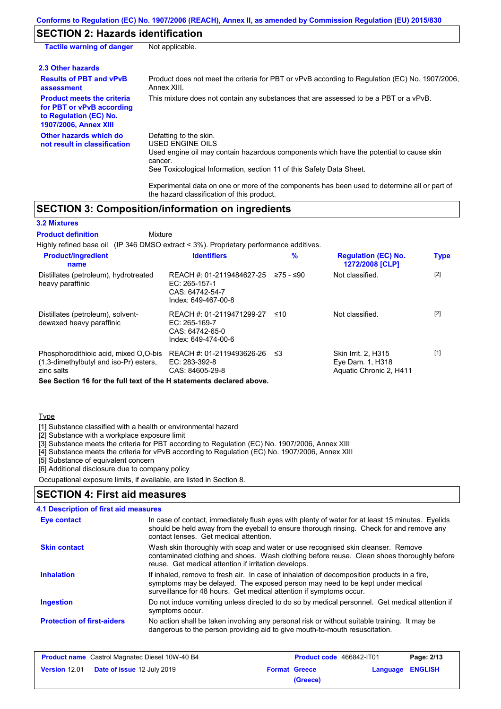# **SECTION 2: Hazards identification**

| <b>Tactile warning of danger</b>                                                                                         | Not applicable.                                                                                                                                                                                                                 |
|--------------------------------------------------------------------------------------------------------------------------|---------------------------------------------------------------------------------------------------------------------------------------------------------------------------------------------------------------------------------|
| 2.3 Other hazards                                                                                                        |                                                                                                                                                                                                                                 |
| <b>Results of PBT and vPvB</b><br>assessment                                                                             | Product does not meet the criteria for PBT or vPvB according to Regulation (EC) No. 1907/2006.<br>Annex XIII.                                                                                                                   |
| <b>Product meets the criteria</b><br>for PBT or vPvB according<br>to Regulation (EC) No.<br><b>1907/2006, Annex XIII</b> | This mixture does not contain any substances that are assessed to be a PBT or a vPvB.                                                                                                                                           |
| Other hazards which do<br>not result in classification                                                                   | Defatting to the skin.<br><b>USED ENGINE OILS</b><br>Used engine oil may contain hazardous components which have the potential to cause skin<br>cancer.<br>See Toxicological Information, section 11 of this Safety Data Sheet. |
|                                                                                                                          | For a share at all share are a consequently assessed as the set of the second to share and the second of the set of                                                                                                             |

Experimental data on one or more of the components has been used to determine all or part of the hazard classification of this product.

# **SECTION 3: Composition/information on ingredients**

Mixture

#### **3.2 Mixtures**

# **Product definition**

Highly refined base oil (IP 346 DMSO extract < 3%). Proprietary performance additives.

| <b>Product/ingredient</b><br>name                                                                                                                                              | <b>Identifiers</b>                                                                     | %         | <b>Regulation (EC) No.</b><br>1272/2008 [CLP]                      | <b>Type</b> |
|--------------------------------------------------------------------------------------------------------------------------------------------------------------------------------|----------------------------------------------------------------------------------------|-----------|--------------------------------------------------------------------|-------------|
| Distillates (petroleum), hydrotreated<br>heavy paraffinic                                                                                                                      | REACH #: 01-2119484627-25<br>EC: 265-157-1<br>CAS: 64742-54-7<br>Index: 649-467-00-8   | 275 - ≤90 | Not classified.                                                    | $[2]$       |
| Distillates (petroleum), solvent-<br>dewaxed heavy paraffinic                                                                                                                  | REACH #: 01-2119471299-27<br>EC: $265-169-7$<br>CAS: 64742-65-0<br>Index: 649-474-00-6 | ≤10       | Not classified.                                                    | $[2]$       |
| Phosphorodithioic acid, mixed O.O-bis<br>(1,3-dimethylbutyl and iso-Pr) esters,<br>zinc salts<br>Arra Arratori dA fondina full dender false. Herbertsmannen den long den beste | REACH #: 01-2119493626-26<br>EC: 283-392-8<br>CAS: 84605-29-8                          | -≤3       | Skin Irrit. 2, H315<br>Eye Dam. 1, H318<br>Aquatic Chronic 2, H411 | $[1]$       |

**See Section 16 for the full text of the H statements declared above.**

#### **Type**

[1] Substance classified with a health or environmental hazard

[2] Substance with a workplace exposure limit

[3] Substance meets the criteria for PBT according to Regulation (EC) No. 1907/2006, Annex XIII

[4] Substance meets the criteria for vPvB according to Regulation (EC) No. 1907/2006, Annex XIII

[5] Substance of equivalent concern

[6] Additional disclosure due to company policy

Occupational exposure limits, if available, are listed in Section 8.

# **SECTION 4: First aid measures**

#### **4.1 Description of first aid measures**

| Eye contact                       | In case of contact, immediately flush eyes with plenty of water for at least 15 minutes. Eyelids<br>should be held away from the eyeball to ensure thorough rinsing. Check for and remove any<br>contact lenses. Get medical attention.             |
|-----------------------------------|-----------------------------------------------------------------------------------------------------------------------------------------------------------------------------------------------------------------------------------------------------|
| <b>Skin contact</b>               | Wash skin thoroughly with soap and water or use recognised skin cleanser. Remove<br>contaminated clothing and shoes. Wash clothing before reuse. Clean shoes thoroughly before<br>reuse. Get medical attention if irritation develops.              |
| <b>Inhalation</b>                 | If inhaled, remove to fresh air. In case of inhalation of decomposition products in a fire,<br>symptoms may be delayed. The exposed person may need to be kept under medical<br>surveillance for 48 hours. Get medical attention if symptoms occur. |
| <b>Ingestion</b>                  | Do not induce vomiting unless directed to do so by medical personnel. Get medical attention if<br>symptoms occur.                                                                                                                                   |
| <b>Protection of first-aiders</b> | No action shall be taken involving any personal risk or without suitable training. It may be<br>dangerous to the person providing aid to give mouth-to-mouth resuscitation.                                                                         |

| <b>Product name</b> Castrol Magnatec Diesel 10W-40 B4 |                                          | Product code 466842-IT01 |          | Page: 2/13       |  |
|-------------------------------------------------------|------------------------------------------|--------------------------|----------|------------------|--|
|                                                       | Version 12.01 Date of issue 12 July 2019 | <b>Format Greece</b>     |          | Language ENGLISH |  |
|                                                       |                                          |                          | (Greece) |                  |  |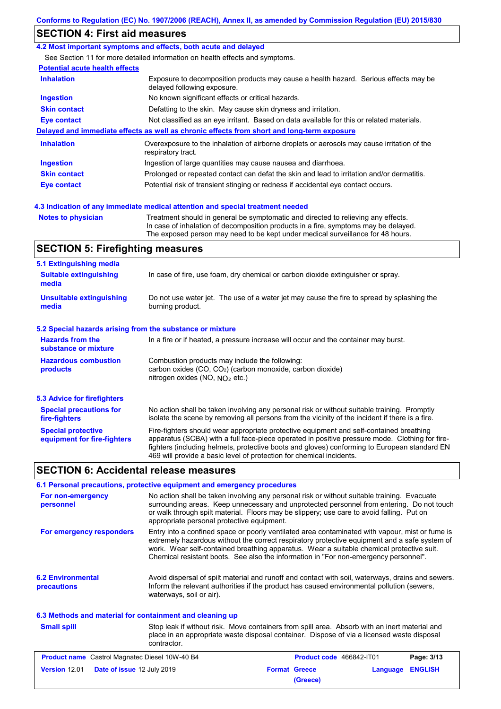# **SECTION 4: First aid measures**

### **4.2 Most important symptoms and effects, both acute and delayed**

See Section 11 for more detailed information on health effects and symptoms.

## **Potential acute health effects**

| <b>Inhalation</b>   | Exposure to decomposition products may cause a health hazard. Serious effects may be<br>delayed following exposure. |  |  |  |
|---------------------|---------------------------------------------------------------------------------------------------------------------|--|--|--|
| <b>Ingestion</b>    | No known significant effects or critical hazards.                                                                   |  |  |  |
| <b>Skin contact</b> | Defatting to the skin. May cause skin dryness and irritation.                                                       |  |  |  |
| <b>Eye contact</b>  | Not classified as an eve irritant. Based on data available for this or related materials.                           |  |  |  |
|                     | Delayed and immediate effects as well as chronic effects from short and long-term exposure                          |  |  |  |
| <b>Inhalation</b>   | Overexposure to the inhalation of airborne droplets or aerosols may cause irritation of the<br>respiratory tract.   |  |  |  |
| <b>Ingestion</b>    | Ingestion of large quantities may cause nausea and diarrhoea.                                                       |  |  |  |
| <b>Skin contact</b> | Prolonged or repeated contact can defat the skin and lead to irritation and/or dermatitis.                          |  |  |  |
| Eye contact         | Potential risk of transient stinging or redness if accidental eye contact occurs.                                   |  |  |  |
|                     |                                                                                                                     |  |  |  |

### **4.3 Indication of any immediate medical attention and special treatment needed**

**Notes to physician** Treatment should in general be symptomatic and directed to relieving any effects. In case of inhalation of decomposition products in a fire, symptoms may be delayed. The exposed person may need to be kept under medical surveillance for 48 hours.

# **SECTION 5: Firefighting measures**

| 5.1 Extinguishing media                                   |                                                                                                                                                                                                                                                                                                                                                                   |
|-----------------------------------------------------------|-------------------------------------------------------------------------------------------------------------------------------------------------------------------------------------------------------------------------------------------------------------------------------------------------------------------------------------------------------------------|
| <b>Suitable extinguishing</b><br>media                    | In case of fire, use foam, dry chemical or carbon dioxide extinguisher or spray.                                                                                                                                                                                                                                                                                  |
| <b>Unsuitable extinguishing</b><br>media                  | Do not use water jet. The use of a water jet may cause the fire to spread by splashing the<br>burning product.                                                                                                                                                                                                                                                    |
| 5.2 Special hazards arising from the substance or mixture |                                                                                                                                                                                                                                                                                                                                                                   |
| <b>Hazards from the</b><br>substance or mixture           | In a fire or if heated, a pressure increase will occur and the container may burst.                                                                                                                                                                                                                                                                               |
| <b>Hazardous combustion</b><br>products                   | Combustion products may include the following:<br>carbon oxides $(CO, CO2)$ (carbon monoxide, carbon dioxide)<br>nitrogen oxides (NO, $NO2$ etc.)                                                                                                                                                                                                                 |
| 5.3 Advice for firefighters                               |                                                                                                                                                                                                                                                                                                                                                                   |
| <b>Special precautions for</b><br>fire-fighters           | No action shall be taken involving any personal risk or without suitable training. Promptly<br>isolate the scene by removing all persons from the vicinity of the incident if there is a fire.                                                                                                                                                                    |
| <b>Special protective</b><br>equipment for fire-fighters  | Fire-fighters should wear appropriate protective equipment and self-contained breathing<br>apparatus (SCBA) with a full face-piece operated in positive pressure mode. Clothing for fire-<br>fighters (including helmets, protective boots and gloves) conforming to European standard EN<br>469 will provide a basic level of protection for chemical incidents. |

# **SECTION 6: Accidental release measures**

| 6.1 Personal precautions, protective equipment and emergency procedures |                                                                                                                                                                                                                                                                                                                                                                                      |                                                                                                                                                                                             |          |                |
|-------------------------------------------------------------------------|--------------------------------------------------------------------------------------------------------------------------------------------------------------------------------------------------------------------------------------------------------------------------------------------------------------------------------------------------------------------------------------|---------------------------------------------------------------------------------------------------------------------------------------------------------------------------------------------|----------|----------------|
| For non-emergency<br>personnel                                          | No action shall be taken involving any personal risk or without suitable training. Evacuate<br>surrounding areas. Keep unnecessary and unprotected personnel from entering. Do not touch<br>or walk through spilt material. Floors may be slippery; use care to avoid falling. Put on<br>appropriate personal protective equipment.                                                  |                                                                                                                                                                                             |          |                |
| For emergency responders                                                | Entry into a confined space or poorly ventilated area contaminated with vapour, mist or fume is<br>extremely hazardous without the correct respiratory protective equipment and a safe system of<br>work. Wear self-contained breathing apparatus. Wear a suitable chemical protective suit.<br>Chemical resistant boots. See also the information in "For non-emergency personnel". |                                                                                                                                                                                             |          |                |
| <b>6.2 Environmental</b><br>precautions                                 | Avoid dispersal of spilt material and runoff and contact with soil, waterways, drains and sewers.<br>Inform the relevant authorities if the product has caused environmental pollution (sewers,<br>waterways, soil or air).                                                                                                                                                          |                                                                                                                                                                                             |          |                |
| 6.3 Methods and material for containment and cleaning up                |                                                                                                                                                                                                                                                                                                                                                                                      |                                                                                                                                                                                             |          |                |
| <b>Small spill</b>                                                      | contractor.                                                                                                                                                                                                                                                                                                                                                                          | Stop leak if without risk. Move containers from spill area. Absorb with an inert material and<br>place in an appropriate waste disposal container. Dispose of via a licensed waste disposal |          |                |
| <b>Product name</b> Castrol Magnatec Diesel 10W-40 B4                   |                                                                                                                                                                                                                                                                                                                                                                                      | Product code 466842-IT01                                                                                                                                                                    |          | Page: 3/13     |
| Date of issue 12 July 2019<br>Version 12.01                             |                                                                                                                                                                                                                                                                                                                                                                                      | <b>Format Greece</b>                                                                                                                                                                        | Language | <b>ENGLISH</b> |

**(Greece)**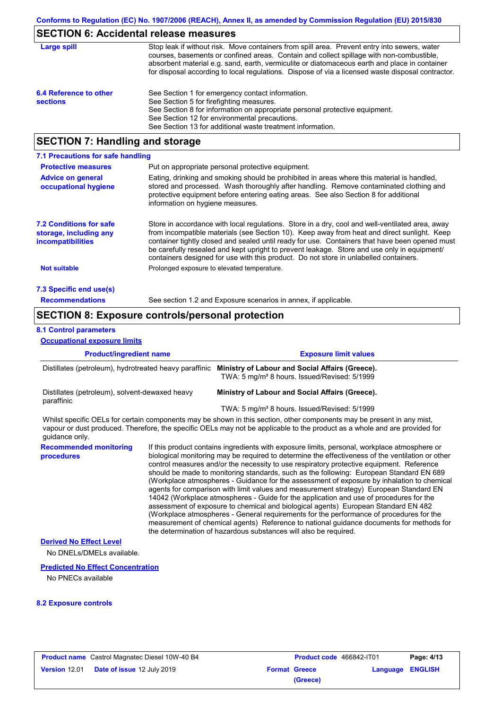# **SECTION 6: Accidental release measures**

| Large spill                               | Stop leak if without risk. Move containers from spill area. Prevent entry into sewers, water<br>courses, basements or confined areas. Contain and collect spillage with non-combustible,<br>absorbent material e.g. sand, earth, vermiculite or diatomaceous earth and place in container<br>for disposal according to local regulations. Dispose of via a licensed waste disposal contractor. |
|-------------------------------------------|------------------------------------------------------------------------------------------------------------------------------------------------------------------------------------------------------------------------------------------------------------------------------------------------------------------------------------------------------------------------------------------------|
| 6.4 Reference to other<br><b>sections</b> | See Section 1 for emergency contact information.<br>See Section 5 for firefighting measures.<br>See Section 8 for information on appropriate personal protective equipment.<br>See Section 12 for environmental precautions.<br>See Section 13 for additional waste treatment information.                                                                                                     |

# **SECTION 7: Handling and storage**

| 7.1 Precautions for safe handling                                                    |                                                                                                                                                                                                                                                                                                                                                                                                                                                                                          |
|--------------------------------------------------------------------------------------|------------------------------------------------------------------------------------------------------------------------------------------------------------------------------------------------------------------------------------------------------------------------------------------------------------------------------------------------------------------------------------------------------------------------------------------------------------------------------------------|
| <b>Protective measures</b>                                                           | Put on appropriate personal protective equipment.                                                                                                                                                                                                                                                                                                                                                                                                                                        |
| <b>Advice on general</b><br>occupational hygiene                                     | Eating, drinking and smoking should be prohibited in areas where this material is handled.<br>stored and processed. Wash thoroughly after handling. Remove contaminated clothing and<br>protective equipment before entering eating areas. See also Section 8 for additional<br>information on hygiene measures.                                                                                                                                                                         |
| <b>7.2 Conditions for safe</b><br>storage, including any<br><i>incompatibilities</i> | Store in accordance with local requiations. Store in a dry, cool and well-ventilated area, away<br>from incompatible materials (see Section 10). Keep away from heat and direct sunlight. Keep<br>container tightly closed and sealed until ready for use. Containers that have been opened must<br>be carefully resealed and kept upright to prevent leakage. Store and use only in equipment/<br>containers designed for use with this product. Do not store in unlabelled containers. |
| Not suitable                                                                         | Prolonged exposure to elevated temperature.                                                                                                                                                                                                                                                                                                                                                                                                                                              |
| 7.3 Specific end use(s)                                                              |                                                                                                                                                                                                                                                                                                                                                                                                                                                                                          |
| <b>Recommendations</b>                                                               | See section 1.2 and Exposure scenarios in annex, if applicable.                                                                                                                                                                                                                                                                                                                                                                                                                          |

# **SECTION 8: Exposure controls/personal protection**

#### **8.1 Control parameters**

**Occupational exposure limits**

| <b>Product/ingredient name</b><br>Distillates (petroleum), hydrotreated heavy paraffinic |                                                                                                                                                                                                                                                                                                                                                                                                                                                                                                                                                                                                                                                                           | <b>Exposure limit values</b>                                                                                                                                                                                                                         |
|------------------------------------------------------------------------------------------|---------------------------------------------------------------------------------------------------------------------------------------------------------------------------------------------------------------------------------------------------------------------------------------------------------------------------------------------------------------------------------------------------------------------------------------------------------------------------------------------------------------------------------------------------------------------------------------------------------------------------------------------------------------------------|------------------------------------------------------------------------------------------------------------------------------------------------------------------------------------------------------------------------------------------------------|
|                                                                                          |                                                                                                                                                                                                                                                                                                                                                                                                                                                                                                                                                                                                                                                                           | Ministry of Labour and Social Affairs (Greece).<br>TWA: 5 mg/m <sup>3</sup> 8 hours. Issued/Revised: 5/1999                                                                                                                                          |
| Distillates (petroleum), solvent-dewaxed heavy<br>paraffinic                             |                                                                                                                                                                                                                                                                                                                                                                                                                                                                                                                                                                                                                                                                           | Ministry of Labour and Social Affairs (Greece).                                                                                                                                                                                                      |
|                                                                                          |                                                                                                                                                                                                                                                                                                                                                                                                                                                                                                                                                                                                                                                                           | TWA: 5 mg/m <sup>3</sup> 8 hours. Issued/Revised: 5/1999                                                                                                                                                                                             |
| quidance only.                                                                           |                                                                                                                                                                                                                                                                                                                                                                                                                                                                                                                                                                                                                                                                           | Whilst specific OELs for certain components may be shown in this section, other components may be present in any mist,<br>vapour or dust produced. Therefore, the specific OELs may not be applicable to the product as a whole and are provided for |
| <b>Recommended monitoring</b><br>procedures                                              | If this product contains ingredients with exposure limits, personal, workplace atmosphere or<br>biological monitoring may be required to determine the effectiveness of the ventilation or other<br>control measures and/or the necessity to use respiratory protective equipment. Reference<br>should be made to monitoring standards, such as the following: European Standard EN 689<br>(Workplace atmospheres - Guidance for the assessment of exposure by inhalation to chemical<br>agents for comparison with limit values and measurement strategy) European Standard EN<br>14042 (Workplace atmospheres - Guide for the application and use of procedures for the |                                                                                                                                                                                                                                                      |

the determination of hazardous substances will also be required.

assessment of exposure to chemical and biological agents) European Standard EN 482 (Workplace atmospheres - General requirements for the performance of procedures for the measurement of chemical agents) Reference to national guidance documents for methods for

**Derived No Effect Level**

No DNELs/DMELs available.

#### **Predicted No Effect Concentration**

No PNECs available

### **8.2 Exposure controls**

| <b>Product name</b> Castrol Magnatec Diesel 10W-40 B4 |                                          | <b>Product code</b> 466842-IT01 |                      | Page: 4/13              |  |
|-------------------------------------------------------|------------------------------------------|---------------------------------|----------------------|-------------------------|--|
|                                                       | Version 12.01 Date of issue 12 July 2019 |                                 | <b>Format Greece</b> | <b>Language ENGLISH</b> |  |
|                                                       |                                          |                                 | (Greece)             |                         |  |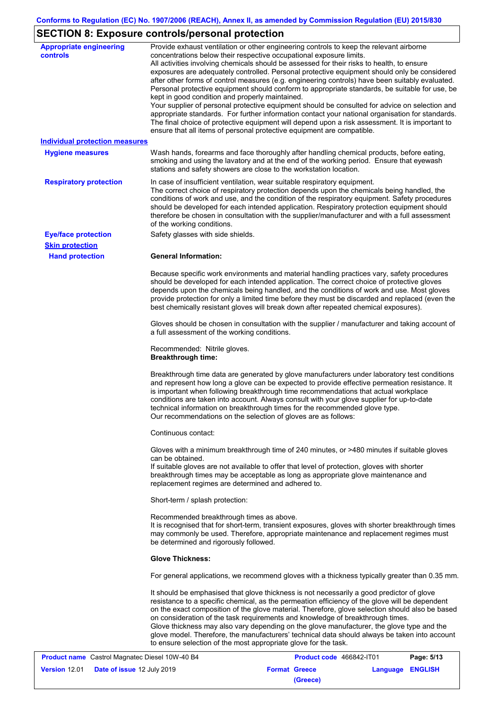# **SECTION 8: Exposure controls/personal protection**

| <b>Appropriate engineering</b>        | Provide exhaust ventilation or other engineering controls to keep the relevant airborne                                                                                                         |
|---------------------------------------|-------------------------------------------------------------------------------------------------------------------------------------------------------------------------------------------------|
| <b>controls</b>                       | concentrations below their respective occupational exposure limits.                                                                                                                             |
|                                       | All activities involving chemicals should be assessed for their risks to health, to ensure                                                                                                      |
|                                       | exposures are adequately controlled. Personal protective equipment should only be considered<br>after other forms of control measures (e.g. engineering controls) have been suitably evaluated. |
|                                       | Personal protective equipment should conform to appropriate standards, be suitable for use, be                                                                                                  |
|                                       | kept in good condition and properly maintained.                                                                                                                                                 |
|                                       | Your supplier of personal protective equipment should be consulted for advice on selection and                                                                                                  |
|                                       | appropriate standards. For further information contact your national organisation for standards.                                                                                                |
|                                       | The final choice of protective equipment will depend upon a risk assessment. It is important to                                                                                                 |
|                                       | ensure that all items of personal protective equipment are compatible.                                                                                                                          |
| <b>Individual protection measures</b> |                                                                                                                                                                                                 |
| <b>Hygiene measures</b>               | Wash hands, forearms and face thoroughly after handling chemical products, before eating,                                                                                                       |
|                                       | smoking and using the lavatory and at the end of the working period. Ensure that eyewash                                                                                                        |
|                                       | stations and safety showers are close to the workstation location.                                                                                                                              |
| <b>Respiratory protection</b>         | In case of insufficient ventilation, wear suitable respiratory equipment.                                                                                                                       |
|                                       | The correct choice of respiratory protection depends upon the chemicals being handled, the                                                                                                      |
|                                       | conditions of work and use, and the condition of the respiratory equipment. Safety procedures                                                                                                   |
|                                       | should be developed for each intended application. Respiratory protection equipment should                                                                                                      |
|                                       | therefore be chosen in consultation with the supplier/manufacturer and with a full assessment                                                                                                   |
|                                       | of the working conditions.                                                                                                                                                                      |
| <b>Eye/face protection</b>            | Safety glasses with side shields.                                                                                                                                                               |
| <b>Skin protection</b>                |                                                                                                                                                                                                 |
| <b>Hand protection</b>                | <b>General Information:</b>                                                                                                                                                                     |
|                                       |                                                                                                                                                                                                 |
|                                       | Because specific work environments and material handling practices vary, safety procedures<br>should be developed for each intended application. The correct choice of protective gloves        |
|                                       | depends upon the chemicals being handled, and the conditions of work and use. Most gloves                                                                                                       |
|                                       | provide protection for only a limited time before they must be discarded and replaced (even the                                                                                                 |
|                                       | best chemically resistant gloves will break down after repeated chemical exposures).                                                                                                            |
|                                       |                                                                                                                                                                                                 |
|                                       | Gloves should be chosen in consultation with the supplier / manufacturer and taking account of                                                                                                  |
|                                       | a full assessment of the working conditions.                                                                                                                                                    |
|                                       | Recommended: Nitrile gloves.                                                                                                                                                                    |
|                                       | <b>Breakthrough time:</b>                                                                                                                                                                       |
|                                       |                                                                                                                                                                                                 |
|                                       | Breakthrough time data are generated by glove manufacturers under laboratory test conditions                                                                                                    |
|                                       | and represent how long a glove can be expected to provide effective permeation resistance. It                                                                                                   |
|                                       | is important when following breakthrough time recommendations that actual workplace                                                                                                             |
|                                       | conditions are taken into account. Always consult with your glove supplier for up-to-date                                                                                                       |
|                                       | technical information on breakthrough times for the recommended glove type.<br>Our recommendations on the selection of gloves are as follows:                                                   |
|                                       |                                                                                                                                                                                                 |
|                                       | Continuous contact:                                                                                                                                                                             |
|                                       | Gloves with a minimum breakthrough time of 240 minutes, or >480 minutes if suitable gloves                                                                                                      |
|                                       | can be obtained.                                                                                                                                                                                |
|                                       | If suitable gloves are not available to offer that level of protection, gloves with shorter                                                                                                     |
|                                       | breakthrough times may be acceptable as long as appropriate glove maintenance and                                                                                                               |
|                                       | replacement regimes are determined and adhered to.                                                                                                                                              |
|                                       | Short-term / splash protection:                                                                                                                                                                 |
|                                       | Recommended breakthrough times as above.                                                                                                                                                        |
|                                       | It is recognised that for short-term, transient exposures, gloves with shorter breakthrough times                                                                                               |
|                                       | may commonly be used. Therefore, appropriate maintenance and replacement regimes must                                                                                                           |
|                                       | be determined and rigorously followed.                                                                                                                                                          |
|                                       | <b>Glove Thickness:</b>                                                                                                                                                                         |
|                                       | For general applications, we recommend gloves with a thickness typically greater than 0.35 mm.                                                                                                  |
|                                       |                                                                                                                                                                                                 |
|                                       | It should be emphasised that glove thickness is not necessarily a good predictor of glove                                                                                                       |
|                                       | resistance to a specific chemical, as the permeation efficiency of the glove will be dependent                                                                                                  |
|                                       | on the exact composition of the glove material. Therefore, glove selection should also be based<br>on consideration of the task requirements and knowledge of breakthrough times.               |
|                                       | Glove thickness may also vary depending on the glove manufacturer, the glove type and the                                                                                                       |
|                                       | glove model. Therefore, the manufacturers' technical data should always be taken into account                                                                                                   |
|                                       | to ensure selection of the most appropriate glove for the task.                                                                                                                                 |
|                                       |                                                                                                                                                                                                 |

| <b>Product name</b> Castrol Magnatec Diesel 10W-40 B4 |                                   | Product code 466842-IT01 |                      | Page: 5/13              |  |
|-------------------------------------------------------|-----------------------------------|--------------------------|----------------------|-------------------------|--|
| Version 12.01                                         | <b>Date of issue 12 July 2019</b> |                          | <b>Format Greece</b> | <b>Language ENGLISH</b> |  |
|                                                       |                                   |                          | (Greece)             |                         |  |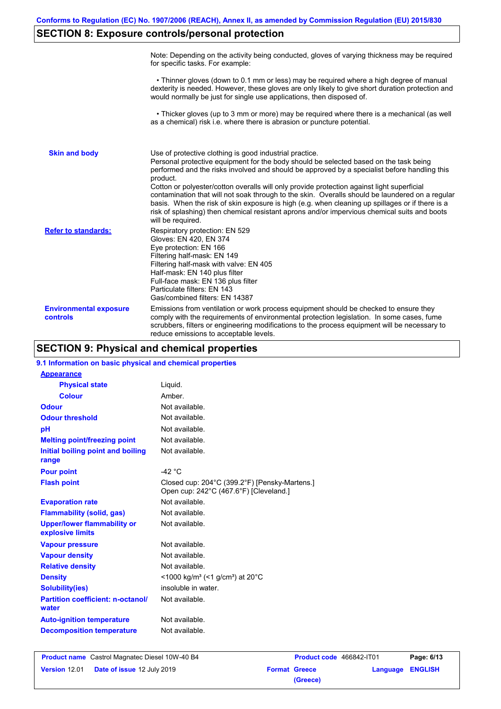# **SECTION 8: Exposure controls/personal protection**

|                                           | Note: Depending on the activity being conducted, gloves of varying thickness may be required<br>for specific tasks. For example:                                                                                                                                                                                                                                                                                                                                                                                                                                                                                                                                                      |
|-------------------------------------------|---------------------------------------------------------------------------------------------------------------------------------------------------------------------------------------------------------------------------------------------------------------------------------------------------------------------------------------------------------------------------------------------------------------------------------------------------------------------------------------------------------------------------------------------------------------------------------------------------------------------------------------------------------------------------------------|
|                                           | • Thinner gloves (down to 0.1 mm or less) may be required where a high degree of manual<br>dexterity is needed. However, these gloves are only likely to give short duration protection and<br>would normally be just for single use applications, then disposed of.                                                                                                                                                                                                                                                                                                                                                                                                                  |
|                                           | • Thicker gloves (up to 3 mm or more) may be required where there is a mechanical (as well<br>as a chemical) risk i.e. where there is abrasion or puncture potential.                                                                                                                                                                                                                                                                                                                                                                                                                                                                                                                 |
| <b>Skin and body</b>                      | Use of protective clothing is good industrial practice.<br>Personal protective equipment for the body should be selected based on the task being<br>performed and the risks involved and should be approved by a specialist before handling this<br>product.<br>Cotton or polyester/cotton overalls will only provide protection against light superficial<br>contamination that will not soak through to the skin. Overalls should be laundered on a regular<br>basis. When the risk of skin exposure is high (e.g. when cleaning up spillages or if there is a<br>risk of splashing) then chemical resistant aprons and/or impervious chemical suits and boots<br>will be required. |
| <b>Refer to standards:</b>                | Respiratory protection: EN 529<br>Gloves: EN 420, EN 374<br>Eye protection: EN 166<br>Filtering half-mask: EN 149<br>Filtering half-mask with valve: EN 405<br>Half-mask: EN 140 plus filter<br>Full-face mask: EN 136 plus filter<br>Particulate filters: EN 143<br>Gas/combined filters: EN 14387                                                                                                                                                                                                                                                                                                                                                                                   |
| <b>Environmental exposure</b><br>controls | Emissions from ventilation or work process equipment should be checked to ensure they<br>comply with the requirements of environmental protection legislation. In some cases, fume<br>scrubbers, filters or engineering modifications to the process equipment will be necessary to<br>reduce emissions to acceptable levels.                                                                                                                                                                                                                                                                                                                                                         |

# **SECTION 9: Physical and chemical properties**

| 9.1 Information on basic physical and chemical properties |                                                                                         |
|-----------------------------------------------------------|-----------------------------------------------------------------------------------------|
| <b>Appearance</b>                                         |                                                                                         |
| <b>Physical state</b>                                     | Liquid.                                                                                 |
| <b>Colour</b>                                             | Amber.                                                                                  |
| <b>Odour</b>                                              | Not available.                                                                          |
| <b>Odour threshold</b>                                    | Not available.                                                                          |
| pH                                                        | Not available.                                                                          |
| <b>Melting point/freezing point</b>                       | Not available.                                                                          |
| Initial boiling point and boiling<br>range                | Not available.                                                                          |
| <b>Pour point</b>                                         | -42 $\degree$ C                                                                         |
| <b>Flash point</b>                                        | Closed cup: 204°C (399.2°F) [Pensky-Martens.]<br>Open cup: 242°C (467.6°F) [Cleveland.] |
| <b>Evaporation rate</b>                                   | Not available.                                                                          |
| <b>Flammability (solid, gas)</b>                          | Not available.                                                                          |
| <b>Upper/lower flammability or</b><br>explosive limits    | Not available.                                                                          |
| <b>Vapour pressure</b>                                    | Not available.                                                                          |
| <b>Vapour density</b>                                     | Not available.                                                                          |
| <b>Relative density</b>                                   | Not available.                                                                          |
| <b>Density</b>                                            | <1000 kg/m <sup>3</sup> (<1 g/cm <sup>3</sup> ) at 20°C                                 |
| <b>Solubility(ies)</b>                                    | insoluble in water.                                                                     |
| <b>Partition coefficient: n-octanol/</b><br>water         | Not available.                                                                          |
| <b>Auto-ignition temperature</b>                          | Not available.                                                                          |
| <b>Decomposition temperature</b>                          | Not available.                                                                          |
|                                                           |                                                                                         |

| <b>Product name</b> Castrol Magnatec Diesel 10W-40 B4 |                                   | Product code 466842-IT01 |                      | Page: 6/13       |  |
|-------------------------------------------------------|-----------------------------------|--------------------------|----------------------|------------------|--|
| Version 12.01                                         | <b>Date of issue 12 July 2019</b> |                          | <b>Format Greece</b> | Language ENGLISH |  |
|                                                       |                                   |                          | (Greece)             |                  |  |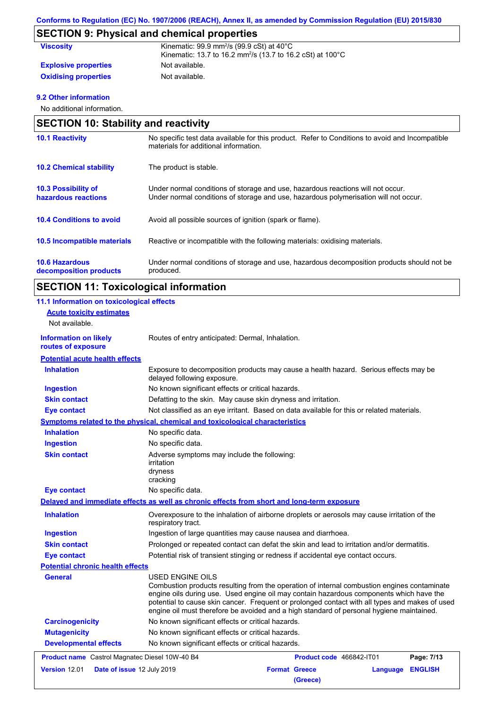# **SECTION 9: Physical and chemical properties**

| <b>Viscosity</b>            | Kinematic: $99.9$ mm <sup>2</sup> /s ( $99.9$ cSt) at $40^{\circ}$ C<br>Kinematic: 13.7 to 16.2 mm <sup>2</sup> /s (13.7 to 16.2 cSt) at 100°C |
|-----------------------------|------------------------------------------------------------------------------------------------------------------------------------------------|
| <b>Explosive properties</b> | Not available.                                                                                                                                 |
| <b>Oxidising properties</b> | Not available.                                                                                                                                 |

## **9.2 Other information**

No additional information.

| <b>SECTION 10: Stability and reactivity</b>       |                                                                                                                                                                         |  |  |
|---------------------------------------------------|-------------------------------------------------------------------------------------------------------------------------------------------------------------------------|--|--|
| <b>10.1 Reactivity</b>                            | No specific test data available for this product. Refer to Conditions to avoid and Incompatible<br>materials for additional information.                                |  |  |
| <b>10.2 Chemical stability</b>                    | The product is stable.                                                                                                                                                  |  |  |
| <b>10.3 Possibility of</b><br>hazardous reactions | Under normal conditions of storage and use, hazardous reactions will not occur.<br>Under normal conditions of storage and use, hazardous polymerisation will not occur. |  |  |
| <b>10.4 Conditions to avoid</b>                   | Avoid all possible sources of ignition (spark or flame).                                                                                                                |  |  |
| 10.5 Incompatible materials                       | Reactive or incompatible with the following materials: oxidising materials.                                                                                             |  |  |
| <b>10.6 Hazardous</b><br>decomposition products   | Under normal conditions of storage and use, hazardous decomposition products should not be<br>produced.                                                                 |  |  |

# **SECTION 11: Toxicological information**

| 11.1 Information on toxicological effects          |                                                                                                                                                                                                                                                                                                                                                                                                                 |  |
|----------------------------------------------------|-----------------------------------------------------------------------------------------------------------------------------------------------------------------------------------------------------------------------------------------------------------------------------------------------------------------------------------------------------------------------------------------------------------------|--|
| <b>Acute toxicity estimates</b>                    |                                                                                                                                                                                                                                                                                                                                                                                                                 |  |
| Not available.                                     |                                                                                                                                                                                                                                                                                                                                                                                                                 |  |
| <b>Information on likely</b><br>routes of exposure | Routes of entry anticipated: Dermal, Inhalation.                                                                                                                                                                                                                                                                                                                                                                |  |
| <b>Potential acute health effects</b>              |                                                                                                                                                                                                                                                                                                                                                                                                                 |  |
| <b>Inhalation</b>                                  | Exposure to decomposition products may cause a health hazard. Serious effects may be<br>delayed following exposure.                                                                                                                                                                                                                                                                                             |  |
| <b>Ingestion</b>                                   | No known significant effects or critical hazards.                                                                                                                                                                                                                                                                                                                                                               |  |
| <b>Skin contact</b>                                | Defatting to the skin. May cause skin dryness and irritation.                                                                                                                                                                                                                                                                                                                                                   |  |
| <b>Eye contact</b>                                 | Not classified as an eye irritant. Based on data available for this or related materials.                                                                                                                                                                                                                                                                                                                       |  |
|                                                    | Symptoms related to the physical, chemical and toxicological characteristics                                                                                                                                                                                                                                                                                                                                    |  |
| <b>Inhalation</b>                                  | No specific data.                                                                                                                                                                                                                                                                                                                                                                                               |  |
| <b>Ingestion</b>                                   | No specific data.                                                                                                                                                                                                                                                                                                                                                                                               |  |
| <b>Skin contact</b>                                | Adverse symptoms may include the following:<br>irritation<br>dryness<br>cracking                                                                                                                                                                                                                                                                                                                                |  |
| <b>Eye contact</b>                                 | No specific data.                                                                                                                                                                                                                                                                                                                                                                                               |  |
|                                                    | Delayed and immediate effects as well as chronic effects from short and long-term exposure                                                                                                                                                                                                                                                                                                                      |  |
| <b>Inhalation</b>                                  | Overexposure to the inhalation of airborne droplets or aerosols may cause irritation of the<br>respiratory tract.                                                                                                                                                                                                                                                                                               |  |
| <b>Ingestion</b>                                   | Ingestion of large quantities may cause nausea and diarrhoea.                                                                                                                                                                                                                                                                                                                                                   |  |
| <b>Skin contact</b>                                | Prolonged or repeated contact can defat the skin and lead to irritation and/or dermatitis.                                                                                                                                                                                                                                                                                                                      |  |
| <b>Eye contact</b>                                 | Potential risk of transient stinging or redness if accidental eye contact occurs.                                                                                                                                                                                                                                                                                                                               |  |
| <b>Potential chronic health effects</b>            |                                                                                                                                                                                                                                                                                                                                                                                                                 |  |
| <b>General</b>                                     | <b>USED ENGINE OILS</b><br>Combustion products resulting from the operation of internal combustion engines contaminate<br>engine oils during use. Used engine oil may contain hazardous components which have the<br>potential to cause skin cancer. Frequent or prolonged contact with all types and makes of used<br>engine oil must therefore be avoided and a high standard of personal hygiene maintained. |  |
| <b>Carcinogenicity</b>                             | No known significant effects or critical hazards.                                                                                                                                                                                                                                                                                                                                                               |  |
| <b>Mutagenicity</b>                                | No known significant effects or critical hazards.                                                                                                                                                                                                                                                                                                                                                               |  |
| <b>Developmental effects</b>                       | No known significant effects or critical hazards.                                                                                                                                                                                                                                                                                                                                                               |  |
| Product name Castrol Magnatec Diesel 10W-40 B4     | Product code 466842-IT01<br>Page: 7/13                                                                                                                                                                                                                                                                                                                                                                          |  |
| <b>Version 12.01</b><br>Date of issue 12 July 2019 | <b>Format Greece</b><br>Language<br><b>ENGLISH</b><br>(Greece)                                                                                                                                                                                                                                                                                                                                                  |  |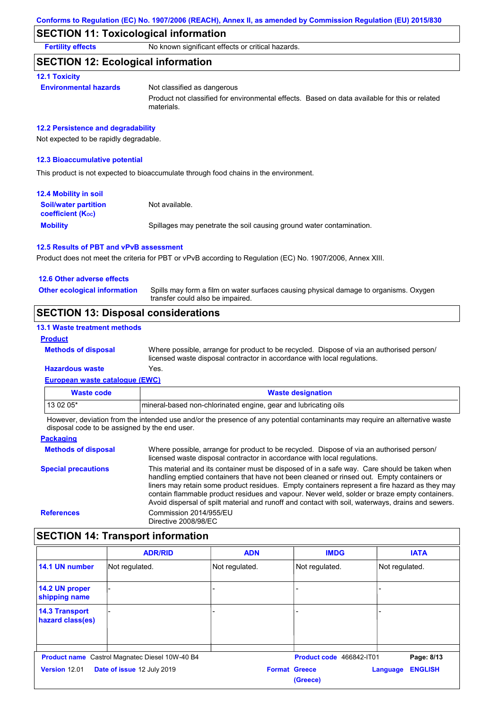## **SECTION 11: Toxicological information**

**Fertility effects** No known significant effects or critical hazards.

## **SECTION 12: Ecological information**

#### **12.1 Toxicity**

```
Environmental hazards Not classified as dangerous
```
Product not classified for environmental effects. Based on data available for this or related materials.

#### **12.2 Persistence and degradability**

Not expected to be rapidly degradable.

#### **12.3 Bioaccumulative potential**

This product is not expected to bioaccumulate through food chains in the environment.

| <b>12.4 Mobility in soil</b>                                  |                                                                      |
|---------------------------------------------------------------|----------------------------------------------------------------------|
| <b>Soil/water partition</b><br>coefficient (K <sub>oc</sub> ) | Not available.                                                       |
| <b>Mobility</b>                                               | Spillages may penetrate the soil causing ground water contamination. |

#### **12.5 Results of PBT and vPvB assessment**

Product does not meet the criteria for PBT or vPvB according to Regulation (EC) No. 1907/2006, Annex XIII.

#### **12.6 Other adverse effects**

**Other ecological information**

Spills may form a film on water surfaces causing physical damage to organisms. Oxygen transfer could also be impaired.

## **SECTION 13: Disposal considerations**

#### **13.1 Waste treatment methods**

#### **Product**

Where possible, arrange for product to be recycled. Dispose of via an authorised person/ licensed waste disposal contractor in accordance with local regulations.

# **Hazardous waste** Yes.

**Methods of disposal**

| European waste cataloque (EWC) |                                                                  |  |  |
|--------------------------------|------------------------------------------------------------------|--|--|
| Waste code                     | <b>Waste designation</b>                                         |  |  |
| $130205*$                      | Imineral-based non-chlorinated engine, gear and lubricating oils |  |  |

However, deviation from the intended use and/or the presence of any potential contaminants may require an alternative waste disposal code to be assigned by the end user.

#### **Packaging Methods of disposal Special precautions** Where possible, arrange for product to be recycled. Dispose of via an authorised person/ licensed waste disposal contractor in accordance with local regulations. This material and its container must be disposed of in a safe way. Care should be taken when handling emptied containers that have not been cleaned or rinsed out. Empty containers or liners may retain some product residues. Empty containers represent a fire hazard as they may contain flammable product residues and vapour. Never weld, solder or braze empty containers. Avoid dispersal of spilt material and runoff and contact with soil, waterways, drains and sewers. **References** Commission 2014/955/EU Directive 2008/98/EC

## **SECTION 14: Transport information**

|                                           | <b>ADR/RID</b>                                        | <b>ADN</b>     | <b>IMDG</b>                      | <b>IATA</b>                |
|-------------------------------------------|-------------------------------------------------------|----------------|----------------------------------|----------------------------|
| 14.1 UN number                            | Not regulated.                                        | Not regulated. | Not regulated.                   | Not regulated.             |
| 14.2 UN proper<br>shipping name           |                                                       |                |                                  |                            |
| <b>14.3 Transport</b><br>hazard class(es) |                                                       |                |                                  |                            |
|                                           | <b>Product name</b> Castrol Magnatec Diesel 10W-40 B4 |                | Product code 466842-IT01         | Page: 8/13                 |
| Version 12.01                             | Date of issue 12 July 2019                            |                | <b>Format Greece</b><br>(Greece) | <b>ENGLISH</b><br>Language |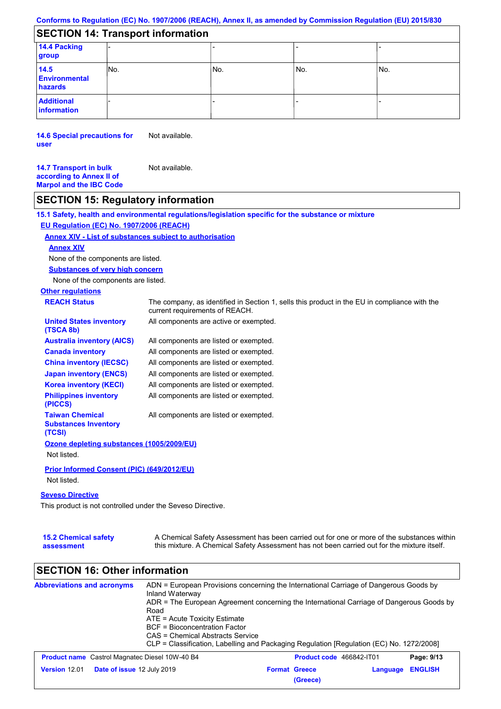# **SECTION 14: Transport information**

| 14.4 Packing<br>group                   |      |     |       |     |
|-----------------------------------------|------|-----|-------|-----|
| 14.5<br><b>Environmental</b><br>hazards | INo. | No. | l No. | No. |
| <b>Additional</b><br>information        |      |     |       |     |

**14.6 Special precautions for user** Not available.

**14.7 Transport in bulk according to Annex II of Marpol and the IBC Code** Not available.

# **SECTION 15: Regulatory information**

**15.1 Safety, health and environmental regulations/legislation specific for the substance or mixture**

## **EU Regulation (EC) No. 1907/2006 (REACH)**

### **Annex XIV - List of substances subject to authorisation**

#### **Annex XIV**

None of the components are listed.

**Substances of very high concern**

None of the components are listed.

# **Other regulations**

| <b>REACH Status</b>                                               | The company, as identified in Section 1, sells this product in the EU in compliance with the<br>current requirements of REACH. |
|-------------------------------------------------------------------|--------------------------------------------------------------------------------------------------------------------------------|
| <b>United States inventory</b><br>(TSCA 8b)                       | All components are active or exempted.                                                                                         |
| <b>Australia inventory (AICS)</b>                                 | All components are listed or exempted.                                                                                         |
| <b>Canada inventory</b>                                           | All components are listed or exempted.                                                                                         |
| <b>China inventory (IECSC)</b>                                    | All components are listed or exempted.                                                                                         |
| <b>Japan inventory (ENCS)</b>                                     | All components are listed or exempted.                                                                                         |
| <b>Korea inventory (KECI)</b>                                     | All components are listed or exempted.                                                                                         |
| <b>Philippines inventory</b><br>(PICCS)                           | All components are listed or exempted.                                                                                         |
| <b>Taiwan Chemical</b><br><b>Substances Inventory</b><br>(TCSI)   | All components are listed or exempted.                                                                                         |
| Ozone depleting substances (1005/2009/EU)                         |                                                                                                                                |
| Not listed.                                                       |                                                                                                                                |
| Prior Informed Consent (PIC) (649/2012/EU)<br>$N = 1$ $N = 1 - 1$ |                                                                                                                                |

Not listed.

## **Seveso Directive**

This product is not controlled under the Seveso Directive.

| <b>15.2 Chemical safety</b> | A Chemical Safety Assessment has been carried out for one or more of the substances within  |
|-----------------------------|---------------------------------------------------------------------------------------------|
| assessment                  | this mixture. A Chemical Safety Assessment has not been carried out for the mixture itself. |

# **SECTION 16: Other information**

| <b>Abbreviations and acronyms</b>                     | ADN = European Provisions concerning the International Carriage of Dangerous Goods by<br>Inland Waterway<br>ADR = The European Agreement concerning the International Carriage of Dangerous Goods by<br>Road<br>ATE = Acute Toxicity Estimate<br>BCF = Bioconcentration Factor<br>CAS = Chemical Abstracts Service<br>CLP = Classification, Labelling and Packaging Regulation [Regulation (EC) No. 1272/2008] |                                  |          |                |
|-------------------------------------------------------|----------------------------------------------------------------------------------------------------------------------------------------------------------------------------------------------------------------------------------------------------------------------------------------------------------------------------------------------------------------------------------------------------------------|----------------------------------|----------|----------------|
| <b>Product name</b> Castrol Magnatec Diesel 10W-40 B4 |                                                                                                                                                                                                                                                                                                                                                                                                                | Product code 466842-IT01         |          | Page: 9/13     |
| Version 12.01<br>Date of issue 12 July 2019           |                                                                                                                                                                                                                                                                                                                                                                                                                | <b>Format Greece</b><br>(Greece) | Language | <b>ENGLISH</b> |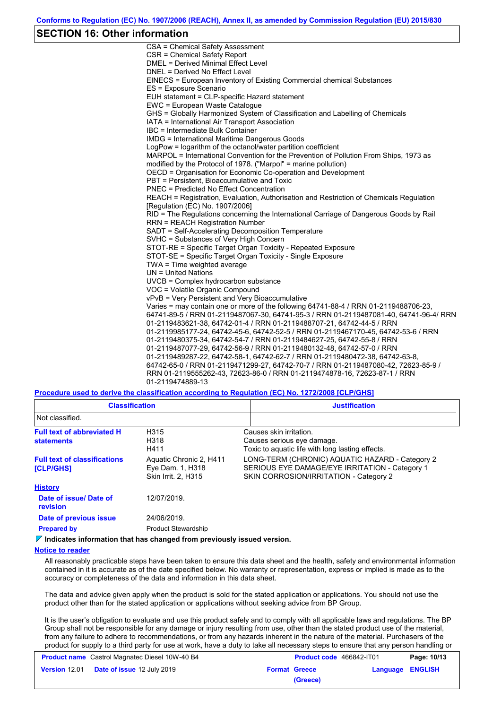# **SECTION 16: Other information**

CSA = Chemical Safety Assessment CSR = Chemical Safety Report DMEL = Derived Minimal Effect Level DNEL = Derived No Effect Level EINECS = European Inventory of Existing Commercial chemical Substances ES = Exposure Scenario EUH statement = CLP-specific Hazard statement EWC = European Waste Catalogue GHS = Globally Harmonized System of Classification and Labelling of Chemicals IATA = International Air Transport Association IBC = Intermediate Bulk Container IMDG = International Maritime Dangerous Goods LogPow = logarithm of the octanol/water partition coefficient MARPOL = International Convention for the Prevention of Pollution From Ships, 1973 as modified by the Protocol of 1978. ("Marpol" = marine pollution) OECD = Organisation for Economic Co-operation and Development PBT = Persistent, Bioaccumulative and Toxic PNEC = Predicted No Effect Concentration REACH = Registration, Evaluation, Authorisation and Restriction of Chemicals Regulation [Regulation (EC) No. 1907/2006] RID = The Regulations concerning the International Carriage of Dangerous Goods by Rail RRN = REACH Registration Number SADT = Self-Accelerating Decomposition Temperature SVHC = Substances of Very High Concern STOT-RE = Specific Target Organ Toxicity - Repeated Exposure STOT-SE = Specific Target Organ Toxicity - Single Exposure TWA = Time weighted average UN = United Nations UVCB = Complex hydrocarbon substance VOC = Volatile Organic Compound vPvB = Very Persistent and Very Bioaccumulative Varies = may contain one or more of the following 64741-88-4 / RRN 01-2119488706-23, 64741-89-5 / RRN 01-2119487067-30, 64741-95-3 / RRN 01-2119487081-40, 64741-96-4/ RRN 01-2119483621-38, 64742-01-4 / RRN 01-2119488707-21, 64742-44-5 / RRN 01-2119985177-24, 64742-45-6, 64742-52-5 / RRN 01-2119467170-45, 64742-53-6 / RRN 01-2119480375-34, 64742-54-7 / RRN 01-2119484627-25, 64742-55-8 / RRN 01-2119487077-29, 64742-56-9 / RRN 01-2119480132-48, 64742-57-0 / RRN 01-2119489287-22, 64742-58-1, 64742-62-7 / RRN 01-2119480472-38, 64742-63-8, 64742-65-0 / RRN 01-2119471299-27, 64742-70-7 / RRN 01-2119487080-42, 72623-85-9 / RRN 01-2119555262-43, 72623-86-0 / RRN 01-2119474878-16, 72623-87-1 / RRN 01-2119474889-13

**Procedure used to derive the classification according to Regulation (EC) No. 1272/2008 [CLP/GHS]**

| <b>Classification</b>                                   |                                                                                      | <b>Justification</b>                                                                                                                        |  |  |
|---------------------------------------------------------|--------------------------------------------------------------------------------------|---------------------------------------------------------------------------------------------------------------------------------------------|--|--|
| Not classified.                                         |                                                                                      |                                                                                                                                             |  |  |
| <b>Full text of abbreviated H</b><br><b>statements</b>  | H315<br>H318<br>H411                                                                 | Causes skin irritation.<br>Causes serious eye damage.<br>Toxic to aguatic life with long lasting effects.                                   |  |  |
| <b>Full text of classifications</b><br><b>[CLP/GHS]</b> | Aquatic Chronic 2, H411<br>Eye Dam. 1, H318<br><b>Skin Irrit. 2. H315</b>            | LONG-TERM (CHRONIC) AQUATIC HAZARD - Category 2<br>SERIOUS EYE DAMAGE/EYE IRRITATION - Category 1<br>SKIN CORROSION/IRRITATION - Category 2 |  |  |
| <b>History</b>                                          |                                                                                      |                                                                                                                                             |  |  |
| Date of issue/ Date of<br>revision                      | 12/07/2019.                                                                          |                                                                                                                                             |  |  |
| Date of previous issue                                  | 24/06/2019.                                                                          |                                                                                                                                             |  |  |
| <b>Prepared by</b>                                      | <b>Product Stewardship</b>                                                           |                                                                                                                                             |  |  |
|                                                         | $\Box$ la disatas information that has above an if the monicular home is in the land |                                                                                                                                             |  |  |

**Indicates information that has changed from previously issued version.**

#### **Notice to reader**

All reasonably practicable steps have been taken to ensure this data sheet and the health, safety and environmental information contained in it is accurate as of the date specified below. No warranty or representation, express or implied is made as to the accuracy or completeness of the data and information in this data sheet.

The data and advice given apply when the product is sold for the stated application or applications. You should not use the product other than for the stated application or applications without seeking advice from BP Group.

It is the user's obligation to evaluate and use this product safely and to comply with all applicable laws and regulations. The BP Group shall not be responsible for any damage or injury resulting from use, other than the stated product use of the material, from any failure to adhere to recommendations, or from any hazards inherent in the nature of the material. Purchasers of the product for supply to a third party for use at work, have a duty to take all necessary steps to ensure that any person handling or

| <b>Product name</b> Castrol Magnatec Diesel 10W-40 B4 | Product code 466842-IT01 |                  | Page: 10/13 |
|-------------------------------------------------------|--------------------------|------------------|-------------|
| Version 12.01 Date of issue 12 July 2019              | <b>Format Greece</b>     | Language ENGLISH |             |
|                                                       | (Greece)                 |                  |             |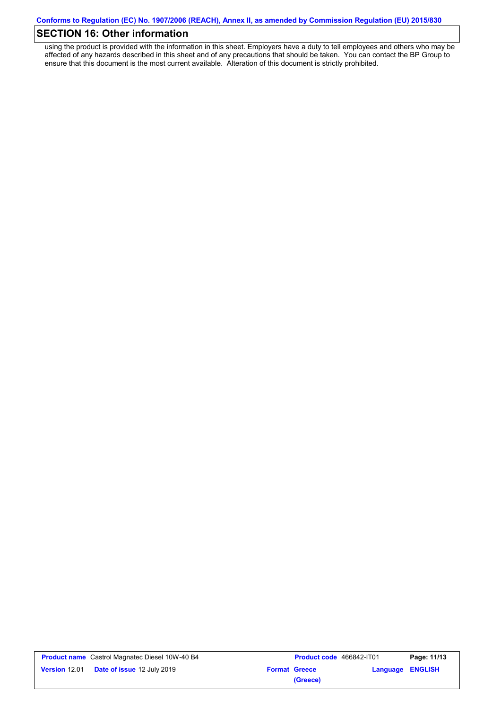# **SECTION 16: Other information**

using the product is provided with the information in this sheet. Employers have a duty to tell employees and others who may be affected of any hazards described in this sheet and of any precautions that should be taken. You can contact the BP Group to ensure that this document is the most current available. Alteration of this document is strictly prohibited.

|                      | <b>Product name</b> Castrol Magnatec Diesel 10W-40 B4 | <b>Product code</b> 466842-IT01 |                         | Page: 11/13 |
|----------------------|-------------------------------------------------------|---------------------------------|-------------------------|-------------|
| <b>Version 12.01</b> | <b>Date of issue 12 July 2019</b>                     | <b>Format Greece</b>            | <b>Language ENGLISH</b> |             |
|                      |                                                       | (Greece)                        |                         |             |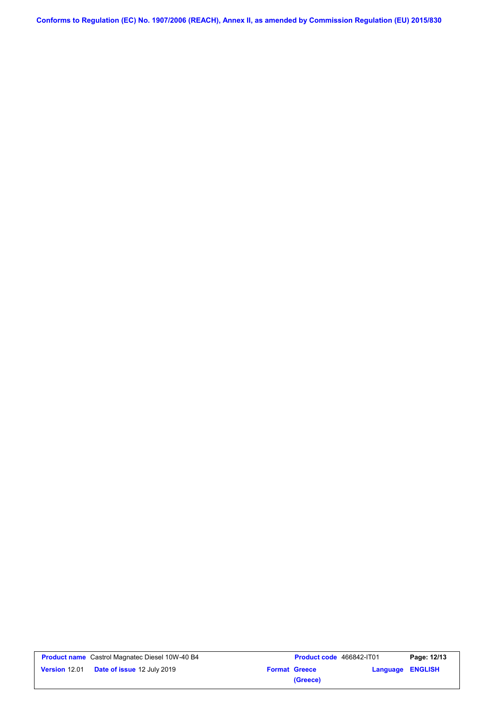**Conforms to Regulation (EC) No. 1907/2006 (REACH), Annex II, as amended by Commission Regulation (EU) 2015/830**

|                      | <b>Product name</b> Castrol Magnatec Diesel 10W-40 B4 |
|----------------------|-------------------------------------------------------|
| <b>Version 12.01</b> | <b>Date of issue 12 July 2019</b>                     |